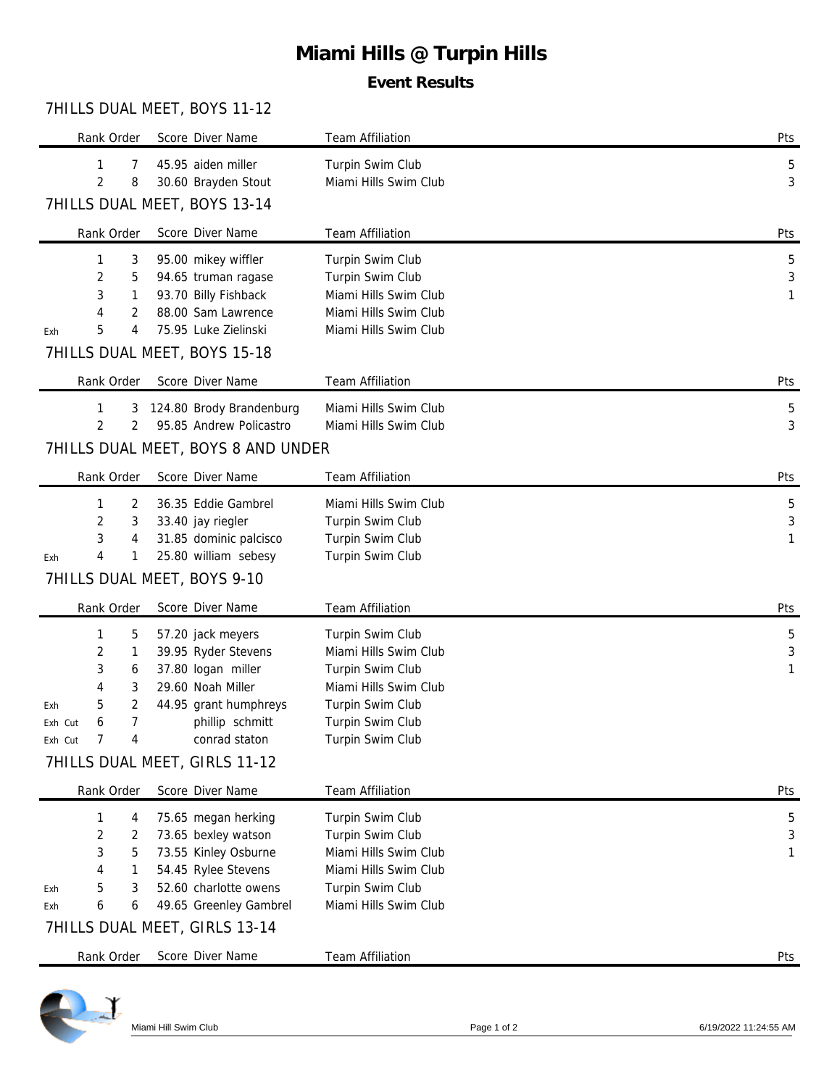# **Miami Hills @ Turpin Hills**

## **Event Results**

#### 7HILLS DUAL MEET, BOYS 11-12

|                                    | Score Diver Name                                | <b>Team Affiliation</b>                   | Pts |  |  |  |  |  |  |
|------------------------------------|-------------------------------------------------|-------------------------------------------|-----|--|--|--|--|--|--|
| 1<br>7                             | 45.95 aiden miller                              | Turpin Swim Club                          | 5   |  |  |  |  |  |  |
| 2<br>8                             | 30.60 Brayden Stout                             | Miami Hills Swim Club                     | 3   |  |  |  |  |  |  |
| 7HILLS DUAL MEET, BOYS 13-14       |                                                 |                                           |     |  |  |  |  |  |  |
| Rank Order                         | Score Diver Name                                | Team Affiliation                          | Pts |  |  |  |  |  |  |
| 3<br>1                             | 95.00 mikey wiffler                             | Turpin Swim Club                          | 5   |  |  |  |  |  |  |
| 2<br>5                             | 94.65 truman ragase                             | Turpin Swim Club                          | 3   |  |  |  |  |  |  |
| 3<br>1                             | 93.70 Billy Fishback                            | Miami Hills Swim Club                     | 1   |  |  |  |  |  |  |
| 2<br>4                             | 88.00 Sam Lawrence                              | Miami Hills Swim Club                     |     |  |  |  |  |  |  |
| 5<br>4<br>Exh                      | 75.95 Luke Zielinski                            | Miami Hills Swim Club                     |     |  |  |  |  |  |  |
|                                    | 7HILLS DUAL MEET, BOYS 15-18                    |                                           |     |  |  |  |  |  |  |
| Rank Order                         | Score Diver Name                                | Team Affiliation                          | Pts |  |  |  |  |  |  |
| 1<br>3                             | 124.80 Brody Brandenburg                        | Miami Hills Swim Club                     | 5   |  |  |  |  |  |  |
| $\overline{2}$<br>2                | 95.85 Andrew Policastro                         | Miami Hills Swim Club                     | 3   |  |  |  |  |  |  |
| 7HILLS DUAL MEET, BOYS 8 AND UNDER |                                                 |                                           |     |  |  |  |  |  |  |
| Rank Order                         | Score Diver Name                                | Team Affiliation                          | Pts |  |  |  |  |  |  |
| 2<br>1                             | 36.35 Eddie Gambrel                             | Miami Hills Swim Club                     | 5   |  |  |  |  |  |  |
| 2<br>3                             | 33.40 jay riegler                               | Turpin Swim Club                          | 3   |  |  |  |  |  |  |
| 3<br>4                             | 31.85 dominic palcisco                          | Turpin Swim Club                          | 1   |  |  |  |  |  |  |
| 4<br>1<br>Exh                      | 25.80 william sebesy                            | Turpin Swim Club                          |     |  |  |  |  |  |  |
|                                    | 7HILLS DUAL MEET, BOYS 9-10                     |                                           |     |  |  |  |  |  |  |
| Rank Order                         | Score Diver Name                                | Team Affiliation                          | Pts |  |  |  |  |  |  |
|                                    |                                                 |                                           |     |  |  |  |  |  |  |
| 1<br>5                             | 57.20 jack meyers                               | Turpin Swim Club                          | 5   |  |  |  |  |  |  |
| 2<br>1                             | 39.95 Ryder Stevens                             | Miami Hills Swim Club                     | 3   |  |  |  |  |  |  |
| 3<br>6                             | 37.80 logan miller                              | Turpin Swim Club                          | 1   |  |  |  |  |  |  |
| 3<br>4                             | 29.60 Noah Miller                               | Miami Hills Swim Club                     |     |  |  |  |  |  |  |
| 2<br>5<br>Exh                      | 44.95 grant humphreys                           | Turpin Swim Club                          |     |  |  |  |  |  |  |
| 7<br>6<br>Exh Cut                  | phillip schmitt                                 | Turpin Swim Club                          |     |  |  |  |  |  |  |
| 7<br>Exh Cut<br>4                  | conrad staton                                   | Turpin Swim Club                          |     |  |  |  |  |  |  |
|                                    | 7HILLS DUAL MEET, GIRLS 11-12                   |                                           |     |  |  |  |  |  |  |
| Rank Order                         | Score Diver Name                                | Team Affiliation                          | Pts |  |  |  |  |  |  |
| 1<br>4                             | 75.65 megan herking                             | Turpin Swim Club                          | 5   |  |  |  |  |  |  |
| 2<br>2                             | 73.65 bexley watson                             | Turpin Swim Club                          | 3   |  |  |  |  |  |  |
| 3<br>5                             | 73.55 Kinley Osburne                            | Miami Hills Swim Club                     | 1   |  |  |  |  |  |  |
| 4<br>1<br>5<br>3                   | 54.45 Rylee Stevens                             | Miami Hills Swim Club                     |     |  |  |  |  |  |  |
| Exh<br>6<br>6<br>Exh               | 52.60 charlotte owens<br>49.65 Greenley Gambrel | Turpin Swim Club<br>Miami Hills Swim Club |     |  |  |  |  |  |  |
|                                    | 7HILLS DUAL MEET, GIRLS 13-14                   |                                           |     |  |  |  |  |  |  |
| Rank Order                         | Score Diver Name                                | Team Affiliation                          | Pts |  |  |  |  |  |  |